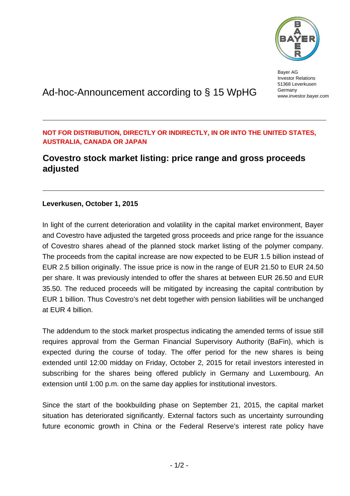

Bayer AG Investor Relations 51368 Leverkusen Germany www.investor.bayer.com

# Ad-hoc-Announcement according to § 15 WpHG

## **NOT FOR DISTRIBUTION, DIRECTLY OR INDIRECTLY, IN OR INTO THE UNITED STATES, AUSTRALIA, CANADA OR JAPAN**

## **Covestro stock market listing: price range and gross proceeds adjusted**

### **Leverkusen, October 1, 2015**

In light of the current deterioration and volatility in the capital market environment, Bayer and Covestro have adjusted the targeted gross proceeds and price range for the issuance of Covestro shares ahead of the planned stock market listing of the polymer company. The proceeds from the capital increase are now expected to be EUR 1.5 billion instead of EUR 2.5 billion originally. The issue price is now in the range of EUR 21.50 to EUR 24.50 per share. It was previously intended to offer the shares at between EUR 26.50 and EUR 35.50. The reduced proceeds will be mitigated by increasing the capital contribution by EUR 1 billion. Thus Covestro's net debt together with pension liabilities will be unchanged at EUR 4 billion.

The addendum to the stock market prospectus indicating the amended terms of issue still requires approval from the German Financial Supervisory Authority (BaFin), which is expected during the course of today. The offer period for the new shares is being extended until 12:00 midday on Friday, October 2, 2015 for retail investors interested in subscribing for the shares being offered publicly in Germany and Luxembourg. An extension until 1:00 p.m. on the same day applies for institutional investors.

Since the start of the bookbuilding phase on September 21, 2015, the capital market situation has deteriorated significantly. External factors such as uncertainty surrounding future economic growth in China or the Federal Reserve's interest rate policy have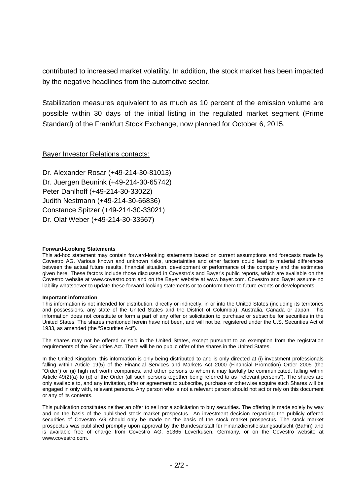contributed to increased market volatility. In addition, the stock market has been impacted by the negative headlines from the automotive sector.

Stabilization measures equivalent to as much as 10 percent of the emission volume are possible within 30 days of the initial listing in the regulated market segment (Prime Standard) of the Frankfurt Stock Exchange, now planned for October 6, 2015.

#### Bayer Investor Relations contacts:

Dr. Alexander Rosar (+49-214-30-81013) Dr. Juergen Beunink (+49-214-30-65742) Peter Dahlhoff (+49-214-30-33022) Judith Nestmann (+49-214-30-66836) Constance Spitzer (+49-214-30-33021) Dr. Olaf Weber (+49-214-30-33567)

#### **Forward-Looking Statements**

This ad-hoc statement may contain forward-looking statements based on current assumptions and forecasts made by Covestro AG. Various known and unknown risks, uncertainties and other factors could lead to material differences between the actual future results, financial situation, development or performance of the company and the estimates given here. These factors include those discussed in Covestro's and Bayer's public reports, which are available on the Covestro website at www.covestro.com and on the Bayer website at www.bayer.com. Covestro and Bayer assume no liability whatsoever to update these forward-looking statements or to conform them to future events or developments.

#### **Important information**

This information is not intended for distribution, directly or indirectly, in or into the United States (including its territories and possessions, any state of the United States and the District of Columbia), Australia, Canada or Japan. This information does not constitute or form a part of any offer or solicitation to purchase or subscribe for securities in the United States. The shares mentioned herein have not been, and will not be, registered under the U.S. Securities Act of 1933, as amended (the "Securities Act").

The shares may not be offered or sold in the United States, except pursuant to an exemption from the registration requirements of the Securities Act. There will be no public offer of the shares in the United States.

In the United Kingdom, this information is only being distributed to and is only directed at (i) investment professionals falling within Article 19(5) of the Financial Services and Markets Act 2000 (Financial Promotion) Order 2005 (the "Order") or (ii) high net worth companies, and other persons to whom it may lawfully be communicated, falling within Article 49(2)(a) to (d) of the Order (all such persons together being referred to as "relevant persons"). The shares are only available to, and any invitation, offer or agreement to subscribe, purchase or otherwise acquire such Shares will be engaged in only with, relevant persons. Any person who is not a relevant person should not act or rely on this document or any of its contents.

This publication constitutes neither an offer to sell nor a solicitation to buy securities. The offering is made solely by way and on the basis of the published stock market prospectus. An investment decision regarding the publicly offered securities of Covestro AG should only be made on the basis of the stock market prospectus. The stock market prospectus was published promptly upon approval by the Bundesanstalt für Finanzdienstleistungsaufsicht (BaFin) and is available free of charge from Covestro AG, 51365 Leverkusen, Germany, or on the Covestro website at www.covestro.com.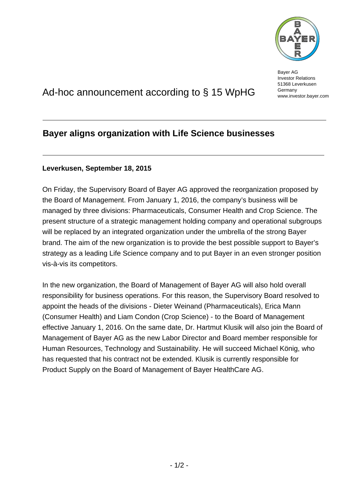

Bayer AG Investor Relations 51368 Leverkusen Germany www.investor.bayer.com

# Ad-hoc announcement according to § 15 WpHG

## **Bayer aligns organization with Life Science businesses**

## **Leverkusen, September 18, 2015**

On Friday, the Supervisory Board of Bayer AG approved the reorganization proposed by the Board of Management. From January 1, 2016, the company's business will be managed by three divisions: Pharmaceuticals, Consumer Health and Crop Science. The present structure of a strategic management holding company and operational subgroups will be replaced by an integrated organization under the umbrella of the strong Bayer brand. The aim of the new organization is to provide the best possible support to Bayer's strategy as a leading Life Science company and to put Bayer in an even stronger position vis-à-vis its competitors.

In the new organization, the Board of Management of Bayer AG will also hold overall responsibility for business operations. For this reason, the Supervisory Board resolved to appoint the heads of the divisions - Dieter Weinand (Pharmaceuticals), Erica Mann (Consumer Health) and Liam Condon (Crop Science) - to the Board of Management effective January 1, 2016. On the same date, Dr. Hartmut Klusik will also join the Board of Management of Bayer AG as the new Labor Director and Board member responsible for Human Resources, Technology and Sustainability. He will succeed Michael König, who has requested that his contract not be extended. Klusik is currently responsible for Product Supply on the Board of Management of Bayer HealthCare AG.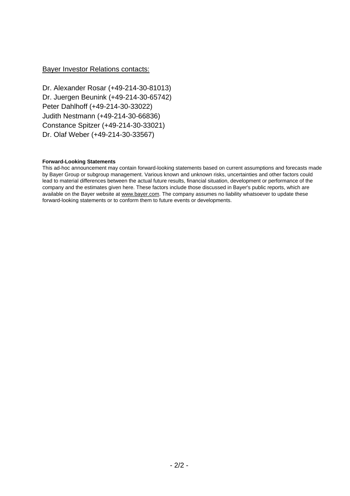#### Bayer Investor Relations contacts:

Dr. Alexander Rosar (+49-214-30-81013) Dr. Juergen Beunink (+49-214-30-65742) Peter Dahlhoff (+49-214-30-33022) Judith Nestmann (+49-214-30-66836) Constance Spitzer (+49-214-30-33021) Dr. Olaf Weber (+49-214-30-33567)

#### **Forward-Looking Statements**

This ad-hoc announcement may contain forward-looking statements based on current assumptions and forecasts made by Bayer Group or subgroup management. Various known and unknown risks, uncertainties and other factors could lead to material differences between the actual future results, financial situation, development or performance of the company and the estimates given here. These factors include those discussed in Bayer's public reports, which are available on the Bayer website at www.bayer.com. The company assumes no liability whatsoever to update these forward-looking statements or to conform them to future events or developments.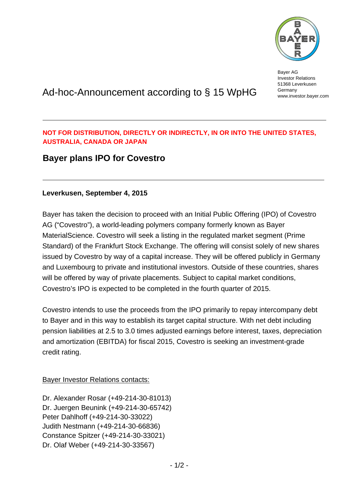

Bayer AG Investor Relations 51368 Leverkusen Germany www.investor.bayer.com

# Ad-hoc-Announcement according to § 15 WpHG

## **NOT FOR DISTRIBUTION, DIRECTLY OR INDIRECTLY, IN OR INTO THE UNITED STATES, AUSTRALIA, CANADA OR JAPAN**

## **Bayer plans IPO for Covestro**

### **Leverkusen, September 4, 2015**

Bayer has taken the decision to proceed with an Initial Public Offering (IPO) of Covestro AG ("Covestro"), a world-leading polymers company formerly known as Bayer MaterialScience. Covestro will seek a listing in the regulated market segment (Prime Standard) of the Frankfurt Stock Exchange. The offering will consist solely of new shares issued by Covestro by way of a capital increase. They will be offered publicly in Germany and Luxembourg to private and institutional investors. Outside of these countries, shares will be offered by way of private placements. Subject to capital market conditions, Covestro's IPO is expected to be completed in the fourth quarter of 2015.

Covestro intends to use the proceeds from the IPO primarily to repay intercompany debt to Bayer and in this way to establish its target capital structure. With net debt including pension liabilities at 2.5 to 3.0 times adjusted earnings before interest, taxes, depreciation and amortization (EBITDA) for fiscal 2015, Covestro is seeking an investment-grade credit rating.

### Bayer Investor Relations contacts:

Dr. Alexander Rosar (+49-214-30-81013) Dr. Juergen Beunink (+49-214-30-65742) Peter Dahlhoff (+49-214-30-33022) Judith Nestmann (+49-214-30-66836) Constance Spitzer (+49-214-30-33021) Dr. Olaf Weber (+49-214-30-33567)